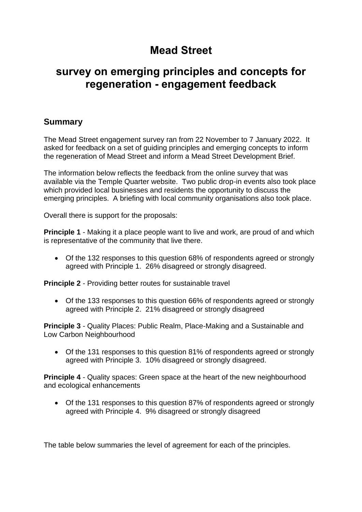# **Mead Street**

## **survey on emerging principles and concepts for regeneration - engagement feedback**

### **Summary**

The Mead Street engagement survey ran from 22 November to 7 January 2022. It asked for feedback on a set of guiding principles and emerging concepts to inform the regeneration of Mead Street and inform a Mead Street Development Brief.

The information below reflects the feedback from the online survey that was available via the Temple Quarter website. Two public drop-in events also took place which provided local businesses and residents the opportunity to discuss the emerging principles. A briefing with local community organisations also took place.

Overall there is support for the proposals:

**Principle 1** - Making it a place people want to live and work, are proud of and which is representative of the community that live there.

• Of the 132 responses to this question 68% of respondents agreed or strongly agreed with Principle 1. 26% disagreed or strongly disagreed.

**Principle 2** - Providing better routes for sustainable travel

• Of the 133 responses to this question 66% of respondents agreed or strongly agreed with Principle 2. 21% disagreed or strongly disagreed

**Principle 3** - Quality Places: Public Realm, Place-Making and a Sustainable and Low Carbon Neighbourhood

• Of the 131 responses to this question 81% of respondents agreed or strongly agreed with Principle 3. 10% disagreed or strongly disagreed.

**Principle 4** - Quality spaces: Green space at the heart of the new neighbourhood and ecological enhancements

• Of the 131 responses to this question 87% of respondents agreed or strongly agreed with Principle 4. 9% disagreed or strongly disagreed

The table below summaries the level of agreement for each of the principles.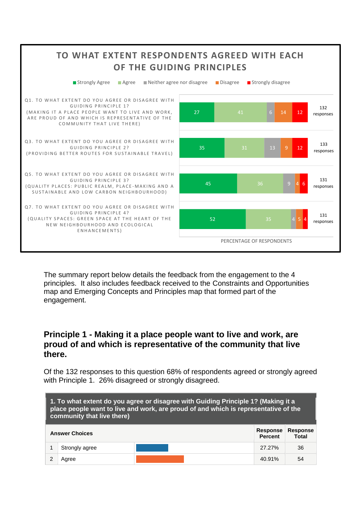

The summary report below details the feedback from the engagement to the 4 principles. It also includes feedback received to the Constraints and Opportunities map and Emerging Concepts and Principles map that formed part of the engagement.

#### **Principle 1 - Making it a place people want to live and work, are proud of and which is representative of the community that live there.**

Of the 132 responses to this question 68% of respondents agreed or strongly agreed with Principle 1. 26% disagreed or strongly disagreed.

| 1. To what extent do you agree or disagree with Guiding Principle 1? (Making it a<br>place people want to live and work, are proud of and which is representative of the<br>community that live there) |                |  |                                   |                                 |
|--------------------------------------------------------------------------------------------------------------------------------------------------------------------------------------------------------|----------------|--|-----------------------------------|---------------------------------|
| <b>Answer Choices</b>                                                                                                                                                                                  |                |  | <b>Response</b><br><b>Percent</b> | <b>Response</b><br><b>Total</b> |
|                                                                                                                                                                                                        | Strongly agree |  | 27.27%                            | 36                              |
|                                                                                                                                                                                                        | Agree          |  | 40.91%                            | 54                              |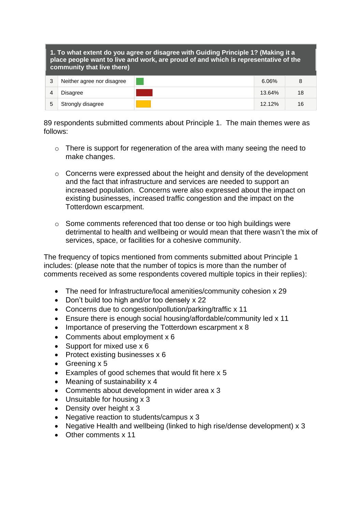| 1. To what extent do you agree or disagree with Guiding Principle 1? (Making it a<br>place people want to live and work, are proud of and which is representative of the<br>community that live there) |                            |  |           |    |
|--------------------------------------------------------------------------------------------------------------------------------------------------------------------------------------------------------|----------------------------|--|-----------|----|
| 3                                                                                                                                                                                                      | Neither agree nor disagree |  | 6.06%     | 8  |
| 4                                                                                                                                                                                                      | <b>Disagree</b>            |  | 13.64%    | 18 |
| 5                                                                                                                                                                                                      | Strongly disagree          |  | $12.12\%$ | 16 |

89 respondents submitted comments about Principle 1. The main themes were as follows:

- o There is support for regeneration of the area with many seeing the need to make changes.
- o Concerns were expressed about the height and density of the development and the fact that infrastructure and services are needed to support an increased population. Concerns were also expressed about the impact on existing businesses, increased traffic congestion and the impact on the Totterdown escarpment.
- o Some comments referenced that too dense or too high buildings were detrimental to health and wellbeing or would mean that there wasn't the mix of services, space, or facilities for a cohesive community.

The frequency of topics mentioned from comments submitted about Principle 1 includes: (please note that the number of topics is more than the number of comments received as some respondents covered multiple topics in their replies):

- The need for Infrastructure/local amenities/community cohesion x 29
- Don't build too high and/or too densely x 22
- Concerns due to congestion/pollution/parking/traffic x 11
- Ensure there is enough social housing/affordable/community led x 11
- Importance of preserving the Totterdown escarpment x 8
- Comments about employment x 6
- Support for mixed use x 6
- Protect existing businesses x 6
- Greening x 5
- Examples of good schemes that would fit here x 5
- Meaning of sustainability x 4
- Comments about development in wider area x 3
- Unsuitable for housing x 3
- Density over height x 3
- Negative reaction to students/campus x 3
- Negative Health and wellbeing (linked to high rise/dense development) x 3
- Other comments x 11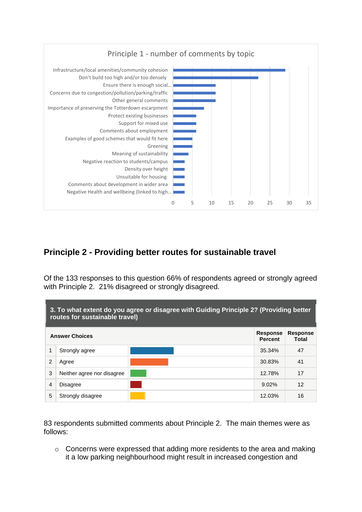

## **Principle 2 - Providing better routes for sustainable travel**

Of the 133 responses to this question 66% of respondents agreed or strongly agreed with Principle 2. 21% disagreed or strongly disagreed.

| 3. To what extent do you agree or disagree with Guiding Principle 2? (Providing better<br>routes for sustainable travel) |                            |  |                            |                          |
|--------------------------------------------------------------------------------------------------------------------------|----------------------------|--|----------------------------|--------------------------|
| <b>Answer Choices</b>                                                                                                    |                            |  | Response<br><b>Percent</b> | <b>Response</b><br>Total |
| 1                                                                                                                        | Strongly agree             |  | 35.34%                     | 47                       |
| 2                                                                                                                        | Agree                      |  | 30.83%                     | 41                       |
| 3                                                                                                                        | Neither agree nor disagree |  | 12.78%                     | 17                       |
| 4                                                                                                                        | <b>Disagree</b>            |  | $9.02\%$                   | 12                       |
| 5                                                                                                                        | Strongly disagree          |  | 12.03%                     | 16                       |

83 respondents submitted comments about Principle 2. The main themes were as follows:

o Concerns were expressed that adding more residents to the area and making it a low parking neighbourhood might result in increased congestion and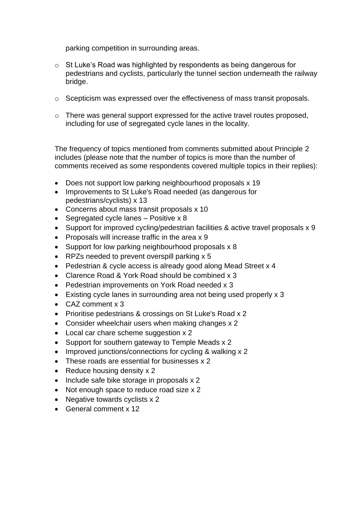parking competition in surrounding areas.

- o St Luke's Road was highlighted by respondents as being dangerous for pedestrians and cyclists, particularly the tunnel section underneath the railway bridge.
- o Scepticism was expressed over the effectiveness of mass transit proposals.
- o There was general support expressed for the active travel routes proposed, including for use of segregated cycle lanes in the locality.

The frequency of topics mentioned from comments submitted about Principle 2 includes (please note that the number of topics is more than the number of comments received as some respondents covered multiple topics in their replies):

- Does not support low parking neighbourhood proposals x 19
- Improvements to St Luke's Road needed (as dangerous for pedestrians/cyclists) x 13
- Concerns about mass transit proposals x 10
- Segregated cycle lanes Positive x 8
- Support for improved cycling/pedestrian facilities & active travel proposals x 9
- Proposals will increase traffic in the area x 9
- Support for low parking neighbourhood proposals x 8
- RPZs needed to prevent overspill parking x 5
- Pedestrian & cycle access is already good along Mead Street x 4
- Clarence Road & York Road should be combined x 3
- Pedestrian improvements on York Road needed x 3
- Existing cycle lanes in surrounding area not being used properly x 3
- CAZ comment x 3
- Prioritise pedestrians & crossings on St Luke's Road x 2
- Consider wheelchair users when making changes x 2
- Local car chare scheme suggestion x 2
- Support for southern gateway to Temple Meads x 2
- Improved junctions/connections for cycling & walking x 2
- These roads are essential for businesses x 2
- Reduce housing density x 2
- Include safe bike storage in proposals x 2
- Not enough space to reduce road size x 2
- Negative towards cyclists x 2
- General comment x 12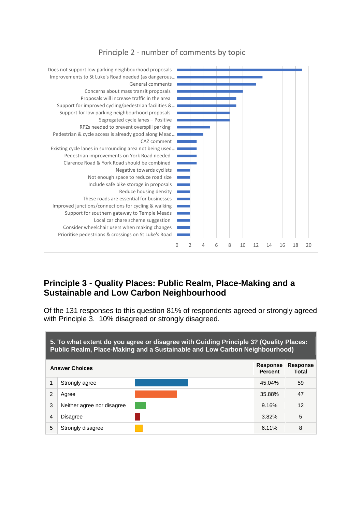

### **Principle 3 - Quality Places: Public Realm, Place-Making and a Sustainable and Low Carbon Neighbourhood**

Of the 131 responses to this question 81% of respondents agreed or strongly agreed with Principle 3. 10% disagreed or strongly disagreed.

| 5. To what extent do you agree or disagree with Guiding Principle 3? (Quality Places:<br>Public Realm, Place-Making and a Sustainable and Low Carbon Neighbourhood) |                            |                                   |                          |    |
|---------------------------------------------------------------------------------------------------------------------------------------------------------------------|----------------------------|-----------------------------------|--------------------------|----|
| <b>Answer Choices</b>                                                                                                                                               |                            | <b>Response</b><br><b>Percent</b> | <b>Response</b><br>Total |    |
|                                                                                                                                                                     | Strongly agree             |                                   | 45.04%                   | 59 |
| 2                                                                                                                                                                   | Agree                      |                                   | 35.88%                   | 47 |
| 3                                                                                                                                                                   | Neither agree nor disagree |                                   | 9.16%                    | 12 |
| 4                                                                                                                                                                   | <b>Disagree</b>            |                                   | $3.82\%$                 | 5  |
| 5                                                                                                                                                                   | Strongly disagree          |                                   | $6.11\%$                 | 8  |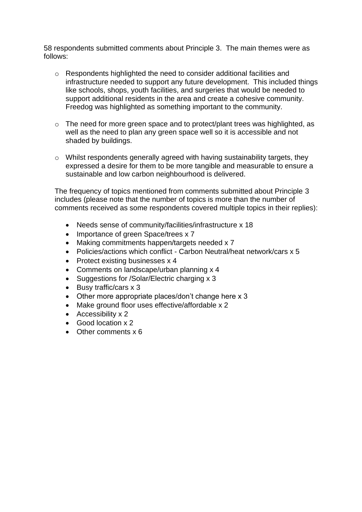58 respondents submitted comments about Principle 3. The main themes were as follows:

- o Respondents highlighted the need to consider additional facilities and infrastructure needed to support any future development. This included things like schools, shops, youth facilities, and surgeries that would be needed to support additional residents in the area and create a cohesive community. Freedog was highlighted as something important to the community.
- o The need for more green space and to protect/plant trees was highlighted, as well as the need to plan any green space well so it is accessible and not shaded by buildings.
- o Whilst respondents generally agreed with having sustainability targets, they expressed a desire for them to be more tangible and measurable to ensure a sustainable and low carbon neighbourhood is delivered.

The frequency of topics mentioned from comments submitted about Principle 3 includes (please note that the number of topics is more than the number of comments received as some respondents covered multiple topics in their replies):

- Needs sense of community/facilities/infrastructure x 18
- Importance of green Space/trees x 7
- Making commitments happen/targets needed x 7
- Policies/actions which conflict Carbon Neutral/heat network/cars x 5
- Protect existing businesses x 4
- Comments on landscape/urban planning x 4
- Suggestions for /Solar/Electric charging x 3
- Busy traffic/cars x 3
- Other more appropriate places/don't change here x 3
- Make ground floor uses effective/affordable x 2
- Accessibility x 2
- Good location x 2
- Other comments x 6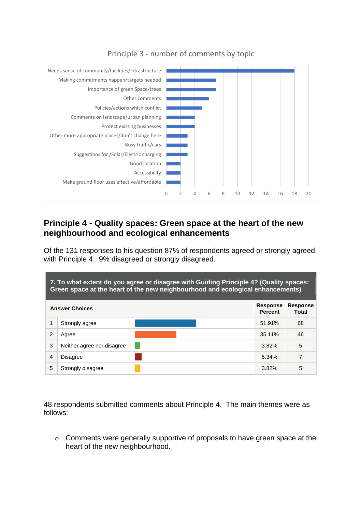

### **Principle 4 - Quality spaces: Green space at the heart of the new neighbourhood and ecological enhancements**

Of the 131 responses to his question 87% of respondents agreed or strongly agreed with Principle 4. 9% disagreed or strongly disagreed.

| 7. To what extent do you agree or disagree with Guiding Principle 4? (Quality spaces:<br>Green space at the heart of the new neighbourhood and ecological enhancements) |                            |  |                                   |                          |
|-------------------------------------------------------------------------------------------------------------------------------------------------------------------------|----------------------------|--|-----------------------------------|--------------------------|
|                                                                                                                                                                         | <b>Answer Choices</b>      |  | <b>Response</b><br><b>Percent</b> | <b>Response</b><br>Total |
|                                                                                                                                                                         | Strongly agree             |  | 51.91%                            | 68                       |
| 2                                                                                                                                                                       | Agree                      |  | 35.11%                            | 46                       |
| 3                                                                                                                                                                       | Neither agree nor disagree |  | $3.82\%$                          | 5                        |
| 4                                                                                                                                                                       | <b>Disagree</b>            |  | 5.34%                             | 7                        |
| 5                                                                                                                                                                       | Strongly disagree          |  | 3.82%                             | 5                        |

48 respondents submitted comments about Principle 4. The main themes were as follows:

o Comments were generally supportive of proposals to have green space at the heart of the new neighbourhood.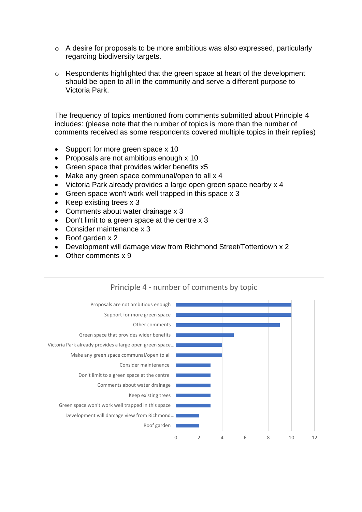- o A desire for proposals to be more ambitious was also expressed, particularly regarding biodiversity targets.
- o Respondents highlighted that the green space at heart of the development should be open to all in the community and serve a different purpose to Victoria Park.

The frequency of topics mentioned from comments submitted about Principle 4 includes: (please note that the number of topics is more than the number of comments received as some respondents covered multiple topics in their replies)

- Support for more green space x 10
- Proposals are not ambitious enough x 10
- Green space that provides wider benefits x5
- Make any green space communal/open to all x 4
- Victoria Park already provides a large open green space nearby x 4
- Green space won't work well trapped in this space x 3
- Keep existing trees x 3
- Comments about water drainage x 3
- Don't limit to a green space at the centre x 3
- Consider maintenance x 3
- Roof garden x 2
- Development will damage view from Richmond Street/Totterdown x 2
- Other comments x 9

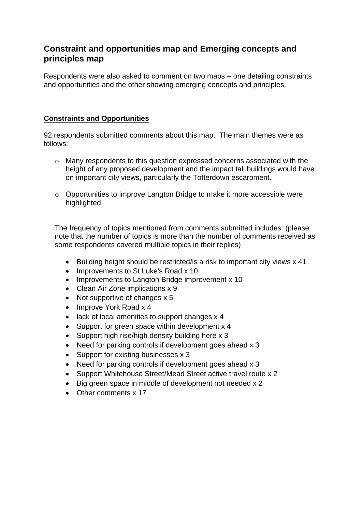### **Constraint and opportunities map and Emerging concepts and principles map**

Respondents were also asked to comment on two maps – one detailing constraints and opportunities and the other showing emerging concepts and principles.

#### **Constraints and Opportunities**

92 respondents submitted comments about this map. The main themes were as follows:

- o Many respondents to this question expressed concerns associated with the height of any proposed development and the impact tall buildings would have on important city views, particularly the Totterdown escarpment.
- o Opportunities to improve Langton Bridge to make it more accessible were highlighted.

The frequency of topics mentioned from comments submitted includes: (please note that the number of topics is more than the number of comments received as some respondents covered multiple topics in their replies)

- Building height should be restricted/is a risk to important city views x 41
- Improvements to St Luke's Road x 10
- Improvements to Langton Bridge improvement x 10
- Clean Air Zone implications x 9
- Not supportive of changes x 5
- Improve York Road x 4
- lack of local amenities to support changes x 4
- Support for green space within development x 4
- Support high rise/high density building here x 3
- Need for parking controls if development goes ahead x 3
- Support for existing businesses x 3
- Need for parking controls if development goes ahead x 3
- Support Whitehouse Street/Mead Street active travel route x 2
- Big green space in middle of development not needed x 2
- Other comments x 17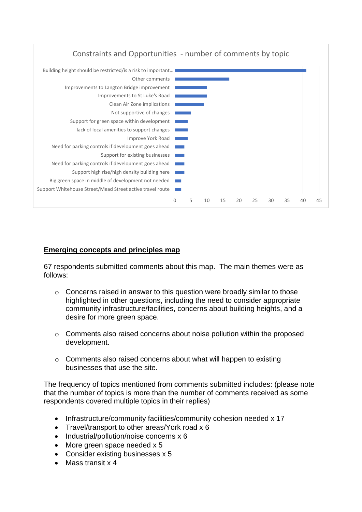

#### **Emerging concepts and principles map**

67 respondents submitted comments about this map. The main themes were as follows:

- o Concerns raised in answer to this question were broadly similar to those highlighted in other questions, including the need to consider appropriate community infrastructure/facilities, concerns about building heights, and a desire for more green space.
- o Comments also raised concerns about noise pollution within the proposed development.
- o Comments also raised concerns about what will happen to existing businesses that use the site.

The frequency of topics mentioned from comments submitted includes: (please note that the number of topics is more than the number of comments received as some respondents covered multiple topics in their replies)

- Infrastructure/community facilities/community cohesion needed x 17
- Travel/transport to other areas/York road x 6
- Industrial/pollution/noise concerns x 6
- More green space needed x 5
- Consider existing businesses x 5
- Mass transit x 4